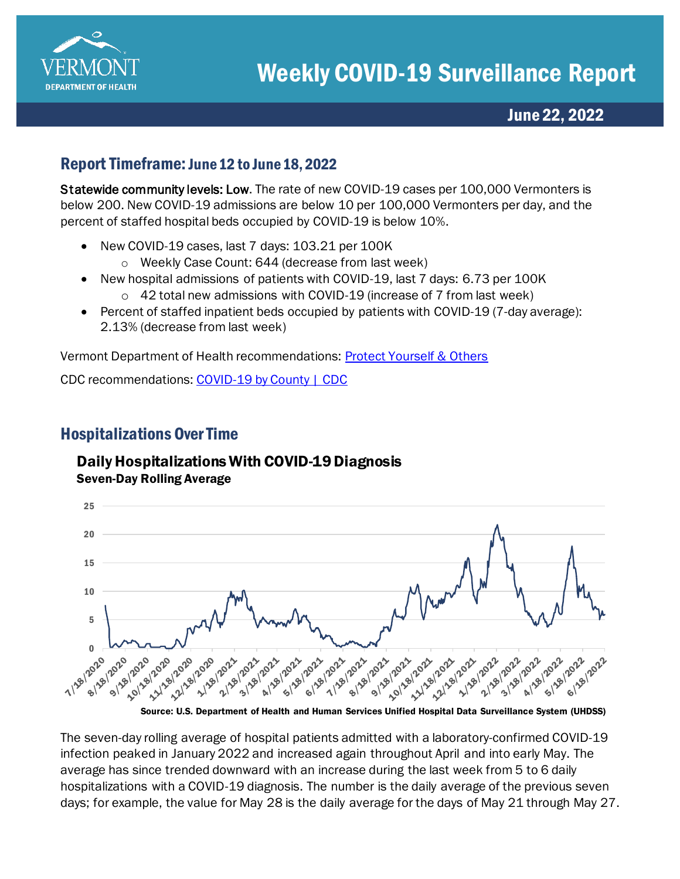

## Report Timeframe: June 12 to June 18, 2022

Statewide community levels: Low. The rate of new COVID-19 cases per 100,000 Vermonters is below 200. New COVID-19 admissions are below 10 per 100,000 Vermonters per day, and the percent of staffed hospital beds occupied by COVID-19 is below 10%.

- New COVID-19 cases, last 7 days: 103.21 per 100K
	- o Weekly Case Count: 644 (decrease from last week)
- New hospital admissions of patients with COVID-19, last 7 days: 6.73 per 100K
	- o 42 total new admissions with COVID-19 (increase of 7 from last week)
- Percent of staffed inpatient beds occupied by patients with COVID-19 (7-day average): 2.13% (decrease from last week)

Vermont Department of Health recommendations: [Protect Yourself & Others](https://www.healthvermont.gov/covid-19/protect-yourself-others) 

CDC recommendations[: COVID-19 by County | CDC](https://www.cdc.gov/coronavirus/2019-ncov/your-health/covid-by-county.html)

# Hospitalizations Over Time

#### Daily Hospitalizations With COVID-19 Diagnosis Seven-Day Rolling Average



The seven-day rolling average of hospital patients admitted with a laboratory-confirmed COVID-19 infection peaked in January 2022 and increased again throughout April and into early May. The average has since trended downward with an increase during the last week from 5 to 6 daily hospitalizations with a COVID-19 diagnosis. The number is the daily average of the previous seven days; for example, the value for May 28 is the daily average for the days of May 21 through May 27.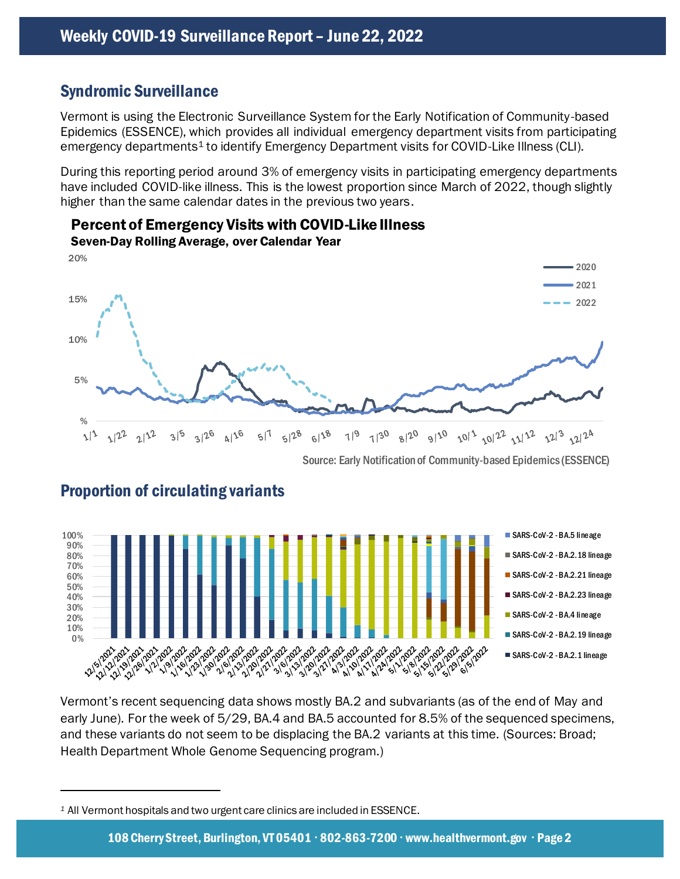## Syndromic Surveillance

Vermont is using the Electronic Surveillance System for the Early Notification of Community-based Epidemics (ESSENCE), which provides all individual emergency department visits from participating emergency departments<sup>1</sup> to identify Emergency Department visits for COVID-Like Illness (CLI).

During this reporting period around 3% of emergency visits in participating emergency departments have included COVID-like illness. This is the lowest proportion since March of 2022, though slightly higher than the same calendar dates in the previous two years.



Percent of Emergency Visits with COVID-Like Illness

#### Source: Early Notification of Community-based Epidemics (ESSENCE)



### Proportion of circulating variants

Vermont's recent sequencing data shows mostly BA.2 and subvariants (as of the end of May and early June). For the week of 5/29, BA.4 and BA.5 accounted for 8.5% of the sequenced specimens, and these variants do not seem to be displacing the BA.2 variants at this time. (Sources: Broad; Health Department Whole Genome Sequencing program.)

*<sup>1</sup>* All Vermont hospitals and two urgent care clinics are included in ESSENCE.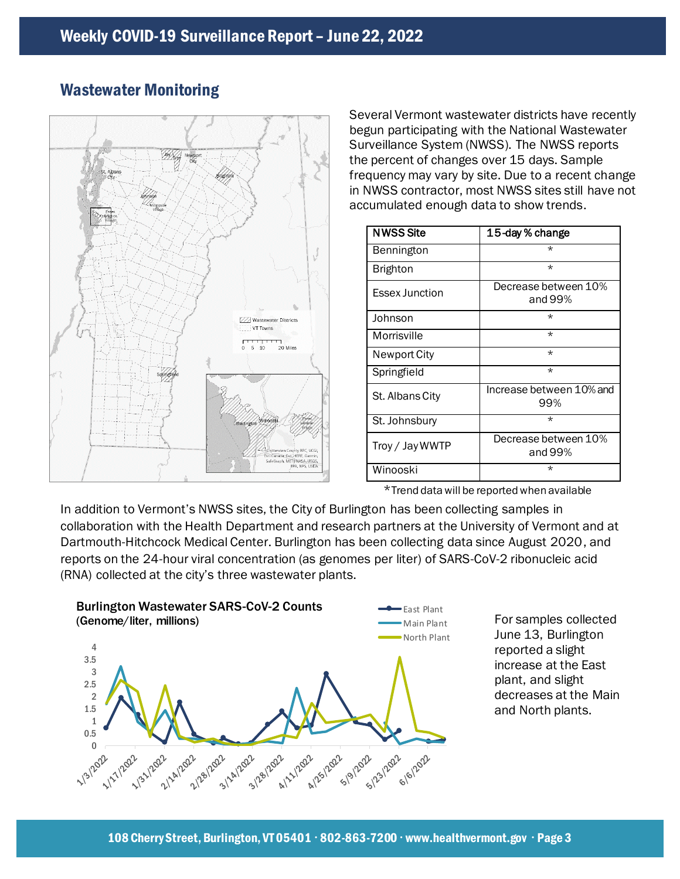

## Wastewater Monitoring

Several Vermont wastewater districts have recently begun participating with the National Wastewater Surveillance System (NWSS). The NWSS reports the percent of changes over 15 days. Sample frequency may vary by site. Due to a recent change in NWSS contractor, most NWSS sites still have not accumulated enough data to show trends.

| <b>NWSS Site</b>      | 15-day % change                 |
|-----------------------|---------------------------------|
| Bennington            | $\star$                         |
| Brighton              | $\star$                         |
| <b>Essex Junction</b> | Decrease between 10%<br>and 99% |
| Johnson               | $\star$                         |
| Morrisville           | $\star$                         |
| Newport City          | $\star$                         |
| Springfield           | $\star$                         |
| St. Albans City       | Increase between 10% and<br>99% |
| St. Johnsbury         | $\star$                         |
| Troy / Jay WWTP       | Decrease between 10%<br>and 99% |
| Winooski              | $\star$                         |

\*Trend data will be reported when available

In addition to Vermont's NWSS sites, the City of Burlington has been collecting samples in collaboration with the Health Department and research partners at the University of Vermont and at Dartmouth-Hitchcock Medical Center. Burlington has been collecting data since August 2020, and reports on the 24-hour viral concentration (as genomes per liter) of SARS-CoV-2 ribonucleic acid (RNA) collected at the city's three wastewater plants.



For samples collected June 13, Burlington reported a slight increase at the East plant, and slight decreases at the Main and North plants.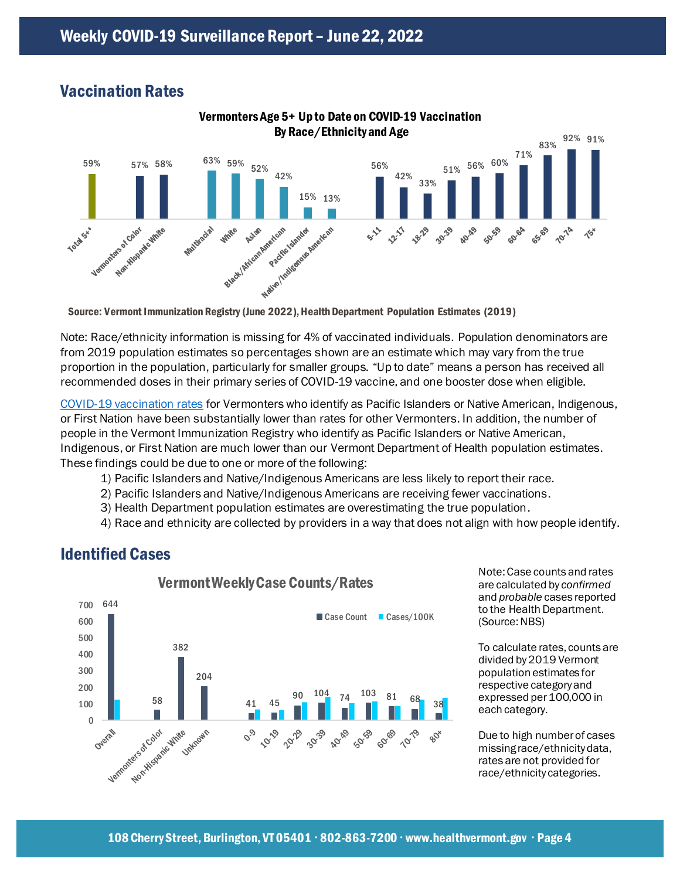# Vaccination Rates



Note: Race/ethnicity information is missing for 4% of vaccinated individuals. Population denominators are from 2019 population estimates so percentages shown are an estimate which may vary from the true proportion in the population, particularly for smaller groups. "Up to date" means a person has received all recommended doses in their primary series of COVID-19 vaccine, and one booster dose when eligible.

[COVID-19 vaccination rates](https://www.healthvermont.gov/covid-19/vaccine/covid-19-vaccine-dashboard) for Vermonters who identify as Pacific Islanders or Native American, Indigenous, or First Nation have been substantially lower than rates for other Vermonters. In addition, the number of people in the Vermont Immunization Registry who identify as Pacific Islanders or Native American, Indigenous, or First Nation are much lower than our Vermont Department of Health population estimates. These findings could be due to one or more of the following:

- 1) Pacific Islanders and Native/Indigenous Americans are less likely to report their race.
- 2) Pacific Islanders and Native/Indigenous Americans are receiving fewer vaccinations.
- 3) Health Department population estimates are overestimating the true population.
- 4) Race and ethnicity are collected by providers in a way that does not align with how people identify.

### Identified Cases



Note: Case counts and rates are calculated by *confirmed* and *probable* cases reported to the Health Department. (Source: NBS)

To calculate rates, counts are divided by 2019 Vermont population estimates for respective category and expressed per 100,000 in each category.

Due to high number of cases missing race/ethnicity data, rates are not provided for race/ethnicity categories.